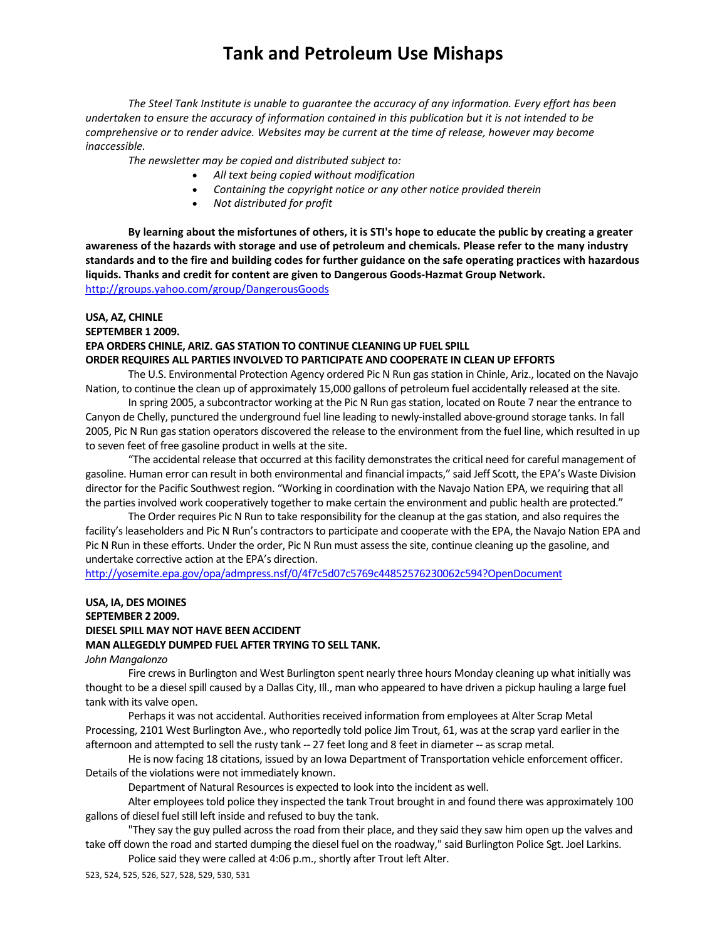*The Steel Tank Institute is unable to guarantee the accuracy of any information. Every effort has been* undertaken to ensure the accuracy of information contained in this publication but it is not intended to be *comprehensive or to render advice. Websites may be current at the time of release, however may become inaccessible.*

*The newsletter may be copied and distributed subject to:*

- *All text being copied without modification*
- *Containing the copyright notice or any other notice provided therein*
- *Not distributed for profit*

By learning about the misfortunes of others, it is STI's hope to educate the public by creating a greater awareness of the hazards with storage and use of petroleum and chemicals. Please refer to the many industry standards and to the fire and building codes for further guidance on the safe operating practices with hazardous **liquids. Thanks and credit for content are given to Dangerous Goods‐Hazmat Group Network.**  http://groups.yahoo.com/group/DangerousGoods

#### **USA, AZ, CHINLE**

#### **SEPTEMBER 1 2009.**

#### **EPA ORDERS CHINLE, ARIZ. GAS STATION TO CONTINUE CLEANING UP FUEL SPILL**

#### **ORDER REQUIRES ALL PARTIES INVOLVED TO PARTICIPATE AND COOPERATE IN CLEAN UP EFFORTS**

The U.S. Environmental Protection Agency ordered Pic N Run gas station in Chinle, Ariz., located on the Navajo Nation, to continue the clean up of approximately 15,000 gallons of petroleum fuel accidentally released at the site.

In spring 2005, a subcontractor working at the Pic N Run gasstation, located on Route 7 near the entrance to Canyon de Chelly, punctured the underground fuel line leading to newly‐installed above‐ground storage tanks. In fall 2005, Pic N Run gasstation operators discovered the release to the environment from the fuel line, which resulted in up to seven feet of free gasoline product in wells at the site.

"The accidental release that occurred at this facility demonstrates the critical need for careful management of gasoline. Human error can result in both environmental and financial impacts," said Jeff Scott, the EPA's Waste Division director for the Pacific Southwest region. "Working in coordination with the Navajo Nation EPA, we requiring that all the parties involved work cooperatively together to make certain the environment and public health are protected."

The Order requires Pic N Run to take responsibility for the cleanup at the gas station, and also requires the facility's leaseholders and Pic N Run's contractors to participate and cooperate with the EPA, the Navajo Nation EPA and Pic N Run in these efforts. Under the order, Pic N Run must assessthe site, continue cleaning up the gasoline, and undertake corrective action at the EPA's direction.

http://yosemite.epa.gov/opa/admpress.nsf/0/4f7c5d07c5769c44852576230062c594?OpenDocument

### **USA, IA, DES MOINES SEPTEMBER 2 2009. DIESEL SPILL MAY NOT HAVE BEEN ACCIDENT MAN ALLEGEDLY DUMPED FUEL AFTER TRYING TO SELL TANK.**

*John Mangalonzo*

Fire crewsin Burlington and West Burlington spent nearly three hours Monday cleaning up what initially was thought to be a diesel spill caused by a Dallas City, Ill., man who appeared to have driven a pickup hauling a large fuel tank with its valve open.

Perhaps it was not accidental. Authorities received information from employees at Alter Scrap Metal Processing, 2101 West Burlington Ave., who reportedly told police Jim Trout, 61, was at the scrap yard earlier in the afternoon and attempted to sell the rusty tank -- 27 feet long and 8 feet in diameter -- as scrap metal.

He is now facing 18 citations, issued by an Iowa Department of Transportation vehicle enforcement officer. Details of the violations were not immediately known.

Department of Natural Resources is expected to look into the incident as well.

Alter employees told police they inspected the tank Trout brought in and found there was approximately 100 gallons of diesel fuel still left inside and refused to buy the tank.

"They say the guy pulled acrossthe road from their place, and they said they saw him open up the valves and take off down the road and started dumping the diesel fuel on the roadway," said Burlington Police Sgt. Joel Larkins.

Police said they were called at 4:06 p.m., shortly after Trout left Alter.

523, 524, 525, 526, 527, 528, 529, 530, 531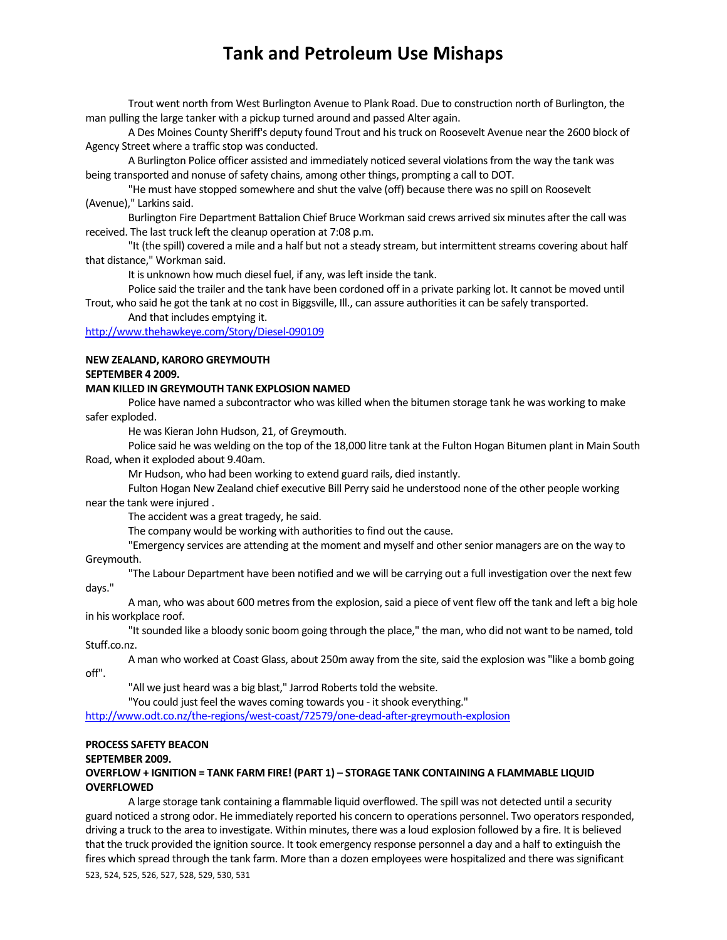Trout went north from West Burlington Avenue to Plank Road. Due to construction north of Burlington, the man pulling the large tanker with a pickup turned around and passed Alter again.

A Des Moines County Sheriff's deputy found Trout and histruck on Roosevelt Avenue near the 2600 block of Agency Street where a traffic stop was conducted.

A Burlington Police officer assisted and immediately noticed several violationsfrom the way the tank was being transported and nonuse of safety chains, among other things, prompting a call to DOT.

"He must have stopped somewhere and shut the valve (off) because there was no spill on Roosevelt (Avenue)," Larkins said.

Burlington Fire Department Battalion Chief Bruce Workman said crews arrived six minutes after the call was received. The last truck left the cleanup operation at 7:08 p.m.

"It (the spill) covered a mile and a half but not a steady stream, but intermittent streams covering about half that distance," Workman said.

It is unknown how much diesel fuel, if any, was left inside the tank.

Police said the trailer and the tank have been cordoned off in a private parking lot. It cannot be moved until Trout, who said he got the tank at no cost in Biggsville, Ill., can assure authoritiesit can be safely transported.

And that includes emptying it.

#### http://www.thehawkeye.com/Story/Diesel‐090109

#### **NEW ZEALAND, KARORO GREYMOUTH**

#### **SEPTEMBER 4 2009.**

#### **MAN KILLED IN GREYMOUTH TANK EXPLOSION NAMED**

Police have named a subcontractor who was killed when the bitumen storage tank he was working to make safer exploded.

He was Kieran John Hudson, 21, of Greymouth.

Police said he was welding on the top of the 18,000 litre tank at the Fulton Hogan Bitumen plant in Main South Road, when it exploded about 9.40am.

Mr Hudson, who had been working to extend guard rails, died instantly.

Fulton Hogan New Zealand chief executive Bill Perry said he understood none of the other people working near the tank were injured .

The accident was a great tragedy, he said.

The company would be working with authorities to find out the cause.

"Emergency services are attending at the moment and myself and other senior managers are on the way to Greymouth.

"The Labour Department have been notified and we will be carrying out a full investigation over the next few days."

A man, who was about 600 metres from the explosion, said a piece of vent flew off the tank and left a big hole in his workplace roof.

"Itsounded like a bloody sonic boom going through the place," the man, who did not want to be named, told Stuff.co.nz.

A man who worked at Coast Glass, about 250m away from the site, said the explosion was "like a bomb going off".

"All we just heard was a big blast," Jarrod Roberts told the website.

"You could just feel the waves coming towards you - it shook everything."

http://www.odt.co.nz/the-regions/west-coast/72579/one-dead-after-greymouth-explosion

#### **PROCESS SAFETY BEACON**

#### **SEPTEMBER 2009.**

#### **OVERFLOW + IGNITION = TANK FARM FIRE! (PART 1) – STORAGE TANK CONTAINING A FLAMMABLE LIQUID OVERFLOWED**

523, 524, 525, 526, 527, 528, 529, 530, 531 A large storage tank containing a flammable liquid overflowed. The spill was not detected until a security guard noticed a strong odor. He immediately reported his concern to operations personnel. Two operators responded, driving a truck to the area to investigate. Within minutes, there was a loud explosion followed by a fire. It is believed that the truck provided the ignition source. It took emergency response personnel a day and a half to extinguish the fires which spread through the tank farm. More than a dozen employees were hospitalized and there was significant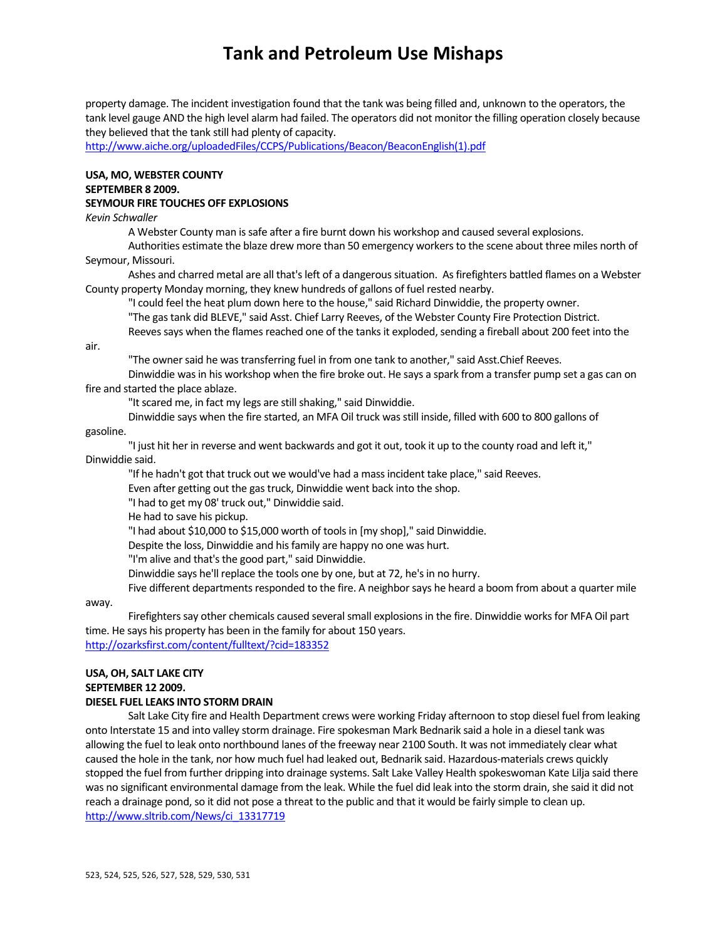property damage. The incident investigation found that the tank was being filled and, unknown to the operators, the tank level gauge AND the high level alarm had failed. The operators did not monitor the filling operation closely because they believed that the tank still had plenty of capacity.

http://www.aiche.org/uploadedFiles/CCPS/Publications/Beacon/BeaconEnglish(1).pdf

#### **USA, MO, WEBSTER COUNTY SEPTEMBER 8 2009. SEYMOUR FIRE TOUCHES OFF EXPLOSIONS**

*Kevin Schwaller*

A Webster County man issafe after a fire burnt down his workshop and caused several explosions.

Authorities estimate the blaze drew more than 50 emergency workersto the scene about three miles north of Seymour, Missouri.

Ashes and charred metal are all that's left of a dangerous situation. As firefighters battled flames on a Webster County property Monday morning, they knew hundreds of gallons of fuel rested nearby.

"I could feel the heat plum down here to the house," said Richard Dinwiddie, the property owner.

"The gastank did BLEVE," said Asst. Chief Larry Reeves, of the Webster County Fire Protection District.

Reeves says when the flames reached one of the tanks it exploded, sending a fireball about 200 feet into the

air.

"The owner said he was transferring fuel in from one tank to another," said Asst.Chief Reeves.

Dinwiddie wasin his workshop when the fire broke out. He says a spark from a transfer pump set a gas can on fire and started the place ablaze.

"It scared me, in fact my legs are still shaking," said Dinwiddie.

Dinwiddie says when the fire started, an MFA Oil truck wasstill inside, filled with 600 to 800 gallons of

### gasoline.

"I just hit her in reverse and went backwards and got it out, took it up to the county road and left it," Dinwiddie said.

"If he hadn't got that truck out we would've had a massincident take place," said Reeves.

Even after getting out the gas truck, Dinwiddie went back into the shop.

"I had to get my 08' truck out," Dinwiddie said.

He had to save his pickup.

"I had about \$10,000 to \$15,000 worth of toolsin [my shop]," said Dinwiddie.

Despite the loss, Dinwiddie and his family are happy no one was hurt.

"I'm alive and that's the good part," said Dinwiddie.

Dinwiddie says he'll replace the tools one by one, but at 72, he's in no hurry.

Five different departments responded to the fire. A neighbor says he heard a boom from about a quarter mile

away.

Firefighters say other chemicals caused several small explosions in the fire. Dinwiddie works for MFA Oil part time. He says his property has been in the family for about 150 years. http://ozarksfirst.com/content/fulltext/?cid=183352

### **USA, OH, SALT LAKE CITY SEPTEMBER 12 2009.**

### **DIESEL FUEL LEAKS INTO STORM DRAIN**

Salt Lake City fire and Health Department crews were working Friday afternoon to stop diesel fuel from leaking onto Interstate 15 and into valley storm drainage. Fire spokesman Mark Bednarik said a hole in a diesel tank was allowing the fuel to leak onto northbound lanes of the freeway near 2100 South. It was not immediately clear what caused the hole in the tank, nor how much fuel had leaked out, Bednarik said. Hazardous‐materials crews quickly stopped the fuel from further dripping into drainage systems. Salt Lake Valley Health spokeswoman Kate Lilja said there was no significant environmental damage from the leak. While the fuel did leak into the storm drain, she said it did not reach a drainage pond, so it did not pose a threat to the public and that it would be fairly simple to clean up. http://www.sltrib.com/News/ci\_13317719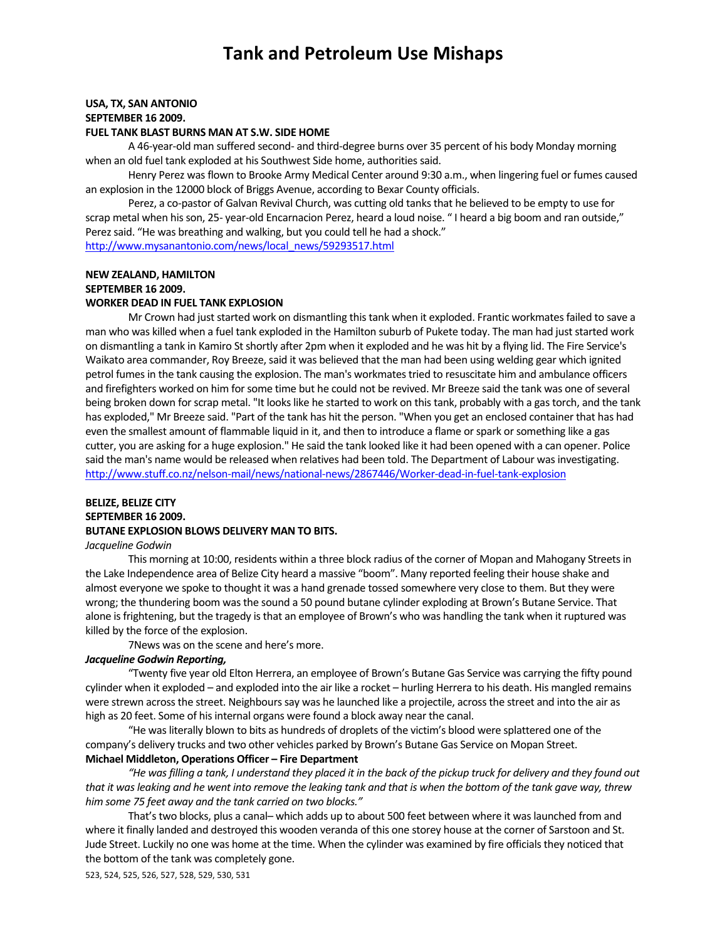#### **USA, TX, SAN ANTONIO SEPTEMBER 16 2009.**

#### **FUEL TANK BLAST BURNS MAN AT S.W. SIDE HOME**

A 46‐year‐old man suffered second‐ and third‐degree burns over 35 percent of his body Monday morning when an old fuel tank exploded at his Southwest Side home, authorities said.

Henry Perez wasflown to Brooke Army Medical Center around 9:30 a.m., when lingering fuel or fumes caused an explosion in the 12000 block of Briggs Avenue, according to Bexar County officials.

Perez, a co-pastor of Galvan Revival Church, was cutting old tanks that he believed to be empty to use for scrap metal when hisson, 25‐ year‐old Encarnacion Perez, heard a loud noise. " I heard a big boom and ran outside," Perez said. "He was breathing and walking, but you could tell he had a shock." http://www.mysanantonio.com/news/local\_news/59293517.html

**NEW ZEALAND, HAMILTON SEPTEMBER 16 2009.** 

**WORKER DEAD IN FUEL TANK EXPLOSION**

Mr Crown had just started work on dismantling this tank when it exploded. Frantic workmates failed to save a man who was killed when a fuel tank exploded in the Hamilton suburb of Pukete today. The man had just started work on dismantling a tank in Kamiro Stshortly after 2pm when it exploded and he was hit by a flying lid. The Fire Service's Waikato area commander, Roy Breeze, said it was believed that the man had been using welding gear which ignited petrol fumes in the tank causing the explosion. The man's workmates tried to resuscitate him and ambulance officers and firefighters worked on him for some time but he could not be revived. Mr Breeze said the tank was one of several being broken down for scrap metal. "It looks like he started to work on this tank, probably with a gas torch, and the tank has exploded," Mr Breeze said. "Part of the tank has hit the person. "When you get an enclosed container that has had even the smallest amount of flammable liquid in it, and then to introduce a flame or spark or something like a gas cutter, you are asking for a huge explosion." He said the tank looked like it had been opened with a can opener. Police said the man's name would be released when relatives had been told. The Department of Labour was investigating. http://www.stuff.co.nz/nelson-mail/news/national-news/2867446/Worker-dead-in-fuel-tank-explosion

### **BELIZE, BELIZE CITY SEPTEMBER 16 2009. BUTANE EXPLOSION BLOWS DELIVERY MAN TO BITS.**

#### *Jacqueline Godwin*

This morning at 10:00, residents within a three block radius of the corner of Mopan and Mahogany Streetsin the Lake Independence area of Belize City heard a massive "boom". Many reported feeling their house shake and almost everyone we spoke to thought it was a hand grenade tossed somewhere very close to them. But they were wrong; the thundering boom wasthe sound a 50 pound butane cylinder exploding at Brown's Butane Service. That alone isfrightening, but the tragedy isthat an employee of Brown's who was handling the tank when it ruptured was killed by the force of the explosion.

7News was on the scene and here's more.

#### *Jacqueline Godwin Reporting,*

"Twenty five year old Elton Herrera, an employee of Brown's Butane Gas Service was carrying the fifty pound cylinder when it exploded – and exploded into the air like a rocket – hurling Herrera to his death. His mangled remains were strewn across the street. Neighbours say was he launched like a projectile, across the street and into the air as high as 20 feet. Some of his internal organs were found a block away near the canal.

"He wasliterally blown to bits as hundreds of droplets of the victim's blood were splattered one of the company's delivery trucks and two other vehicles parked by Brown's Butane Gas Service on Mopan Street. **Michael Middleton, Operations Officer – Fire Department**

"He was filling a tank, I understand they placed it in the back of the pickup truck for delivery and they found out that it was leaking and he went into remove the leaking tank and that is when the bottom of the tank gave way, threw *him some 75 feet away and the tank carried on two blocks."*

That's two blocks, plus a canal- which adds up to about 500 feet between where it was launched from and where it finally landed and destroyed this wooden veranda of this one storey house at the corner of Sarstoon and St. Jude Street. Luckily no one was home at the time. When the cylinder was examined by fire officials they noticed that the bottom of the tank was completely gone.

523, 524, 525, 526, 527, 528, 529, 530, 531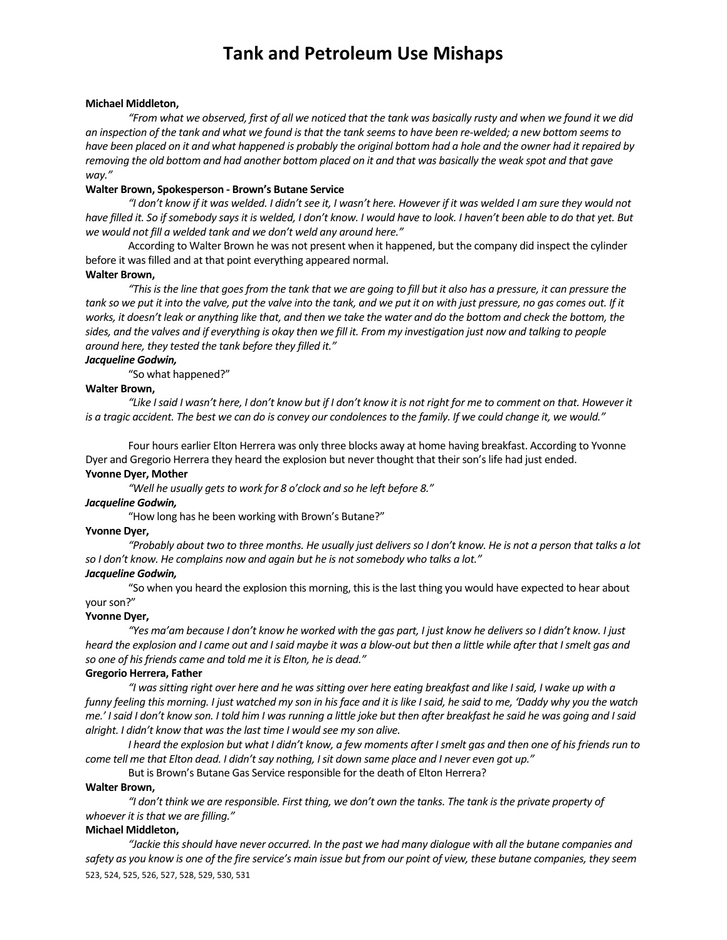#### **Michael Middleton,**

"From what we observed, first of all we noticed that the tank was basically rusty and when we found it we did an inspection of the tank and what we found is that the tank seems to have been re-welded; a new bottom seems to have been placed on it and what happened is probably the original bottom had a hole and the owner had it repaired by removing the old bottom and had another bottom placed on it and that was basically the weak spot and that gave *way."*

#### **Walter Brown, Spokesperson ‐ Brown's Butane Service**

"I don't know if it was welded. I didn't see it, I wasn't here. However if it was welded I am sure they would not have filled it. So if somebody says it is welded, I don't know. I would have to look. I haven't been able to do that yet. But *we would not fill a welded tank and we don't weld any around here."*

According to Walter Brown he was not present when it happened, but the company did inspect the cylinder before it was filled and at that point everything appeared normal.

#### **Walter Brown,**

"This is the line that goes from the tank that we are going to fill but it also has a pressure, it can pressure the tank so we put it into the valve, put the valve into the tank, and we put it on with just pressure, no gas comes out. If it works, it doesn't leak or anything like that, and then we take the water and do the bottom and check the bottom, the sides, and the valves and if everything is okay then we fill it. From my investigation just now and talking to people *around here, they tested the tank before they filled it."*

#### *Jacqueline Godwin,*

"So what happened?"

#### **Walter Brown,**

"Like I said I wasn't here, I don't know but if I don't know it is not right for me to comment on that. However it is a tragic accident. The best we can do is convey our condolences to the family. If we could change it, we would."

Four hours earlier Elton Herrera was only three blocks away at home having breakfast. According to Yvonne Dyer and Gregorio Herrera they heard the explosion but never thought that their son's life had just ended. **Yvonne Dyer, Mother**

*"Well he usually getsto work for 8 o'clock and so he left before 8."*

#### *Jacqueline Godwin,*

"How long has he been working with Brown's Butane?"

#### **Yvonne Dyer,**

"Probably about two to three months. He usually just delivers so I don't know. He is not a person that talks a lot *so I don't know. He complains now and again but he is notsomebody who talks a lot."*

#### *Jacqueline Godwin,*

"So when you heard the explosion this morning, this is the last thing you would have expected to hear about your son?"

#### **Yvonne Dyer,**

"Yes ma'am because I don't know he worked with the gas part, I just know he delivers so I didn't know. I just heard the explosion and I came out and I said maybe it was a blow-out but then a little while after that I smelt gas and *so one of hisfriends came and told me it is Elton, he is dead."*

#### **Gregorio Herrera, Father**

"I was sitting right over here and he was sitting over here eating breakfast and like I said, I wake up with a funny feeling this morning. I just watched my son in his face and it is like I said, he said to me, 'Daddy why you the watch me.' I said I don't know son. I told him I was running a little joke but then after breakfast he said he was going and I said *alright. I didn't know that wasthe last time I would see my son alive.*

I heard the explosion but what I didn't know, a few moments after I smelt gas and then one of his friends run to come tell me that Elton dead. I didn't say nothing, I sit down same place and I never even got up."

But is Brown's Butane Gas Service responsible for the death of Elton Herrera?

#### **Walter Brown,**

"I don't think we are responsible. First thing, we don't own the tanks. The tank is the private property of *whoever it isthat we are filling."*

#### **Michael Middleton,**

523, 524, 525, 526, 527, 528, 529, 530, 531 "Jackie this should have never occurred. In the past we had many dialogue with all the butane companies and safety as you know is one of the fire service's main issue but from our point of view, these butane companies, they seem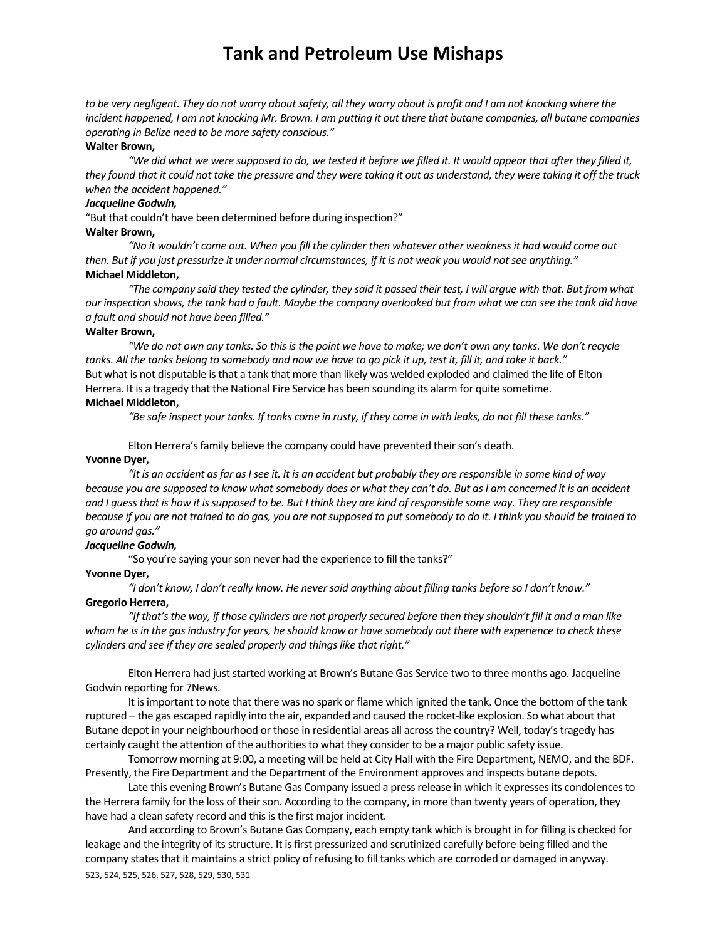to be very negligent. They do not worry about safety, all they worry about is profit and I am not knocking where the incident happened, I am not knocking Mr. Brown. I am putting it out there that butane companies, all butane companies *operating in Belize need to be more safety conscious."*

#### **Walter Brown,**

"We did what we were supposed to do, we tested it before we filled it. It would appear that after they filled it, they found that it could not take the pressure and they were taking it out as understand, they were taking it off the truck *when the accident happened."*

#### *Jacqueline Godwin,*

"But that couldn't have been determined before during inspection?"

#### **Walter Brown,**

"No it wouldn't come out. When you fill the cylinder then whatever other weakness it had would come out then. But if you just pressurize it under normal circumstances, if it is not weak you would not see anything." **Michael Middleton,**

"The company said they tested the cylinder, they said it passed their test, I will arque with that. But from what our inspection shows, the tank had a fault. Maybe the company overlooked but from what we can see the tank did have *a fault and should not have been filled."*

#### **Walter Brown,**

"We do not own any tanks. So this is the point we have to make; we don't own any tanks. We don't recycle tanks. All the tanks belong to somebody and now we have to go pick it up, test it, fill it, and take it back." But what is not disputable isthat a tank that more than likely was welded exploded and claimed the life of Elton Herrera. It is a tragedy that the National Fire Service has been sounding its alarm for quite sometime.

#### **Michael Middleton,**

"Be safe inspect your tanks. If tanks come in rusty, if they come in with leaks, do not fill these tanks."

Elton Herrera's family believe the company could have prevented their son's death.

#### **Yvonne Dyer,**

"It is an accident as far as I see it. It is an accident but probably they are responsible in some kind of way because you are supposed to know what somebody does or what they can't do. But as I am concerned it is an accident and I guess that is how it is supposed to be. But I think they are kind of responsible some way. They are responsible because if you are not trained to do gas, you are not supposed to put somebody to do it. I think you should be trained to *go around gas."*

#### *Jacqueline Godwin,*

"So you're saying your son never had the experience to fill the tanks?"

#### **Yvonne Dyer,**

"I don't know, I don't really know. He never said anything about filling tanks before so I don't know."

#### **Gregorio Herrera,**

"If that's the way, if those cylinders are not properly secured before then they shouldn't fill it and a man like whom he is in the gas industry for years, he should know or have somebody out there with experience to check these *cylinders and see if they are sealed properly and thingslike that right."*

Elton Herrera had just started working at Brown's Butane Gas Service two to three months ago. Jacqueline Godwin reporting for 7News.

It isimportant to note that there was no spark or flame which ignited the tank. Once the bottom of the tank ruptured – the gas escaped rapidly into the air, expanded and caused the rocket‐like explosion. So what about that Butane depot in your neighbourhood or those in residential areas all across the country? Well, today's tragedy has certainly caught the attention of the authorities to what they consider to be a major public safety issue.

Tomorrow morning at 9:00, a meeting will be held at City Hall with the Fire Department, NEMO, and the BDF. Presently, the Fire Department and the Department of the Environment approves and inspects butane depots.

Late this evening Brown's Butane Gas Company issued a press release in which it expresses its condolences to the Herrera family for the loss of their son. According to the company, in more than twenty years of operation, they have had a clean safety record and this is the first major incident.

523, 524, 525, 526, 527, 528, 529, 530, 531 And according to Brown's Butane Gas Company, each empty tank which is brought in for filling is checked for leakage and the integrity of its structure. It is first pressurized and scrutinized carefully before being filled and the company states that it maintains a strict policy of refusing to fill tanks which are corroded or damaged in anyway.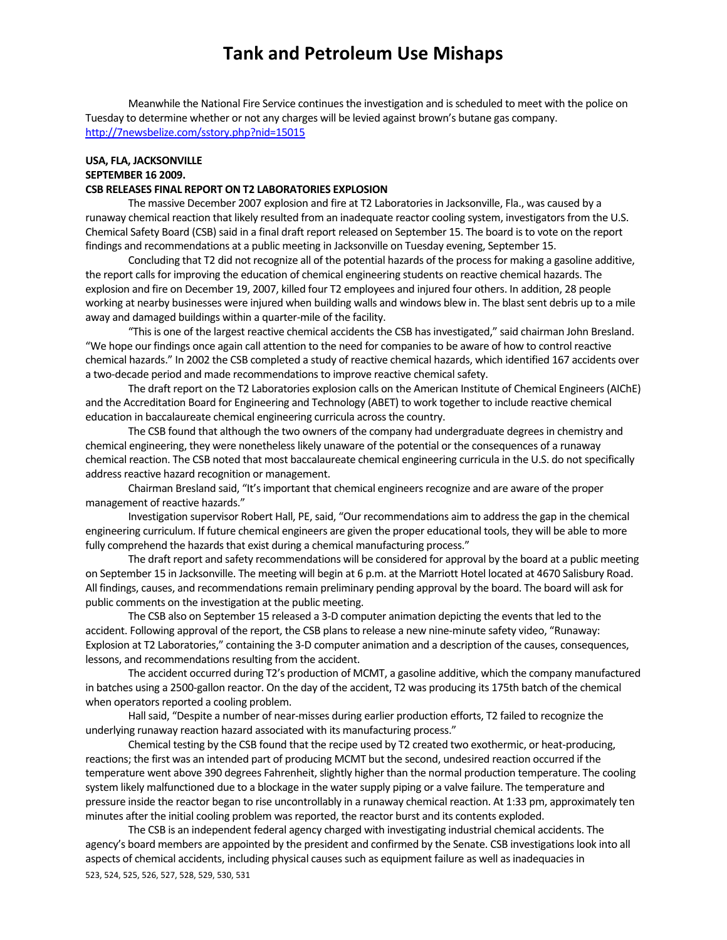Meanwhile the National Fire Service continues the investigation and is scheduled to meet with the police on Tuesday to determine whether or not any charges will be levied against brown's butane gas company. http://7newsbelize.com/sstory.php?nid=15015

### **USA, FLA, JACKSONVILLE SEPTEMBER 16 2009.**

#### **CSB RELEASES FINAL REPORT ON T2 LABORATORIES EXPLOSION**

The massive December 2007 explosion and fire at T2 Laboratoriesin Jacksonville, Fla., was caused by a runaway chemical reaction that likely resulted from an inadequate reactor cooling system, investigators from the U.S. Chemical Safety Board (CSB) said in a final draft report released on September 15. The board is to vote on the report findings and recommendations at a public meeting in Jacksonville on Tuesday evening, September 15.

Concluding that T2 did not recognize all of the potential hazards of the process for making a gasoline additive, the report calls for improving the education of chemical engineering students on reactive chemical hazards. The explosion and fire on December 19, 2007, killed four T2 employees and injured four others. In addition, 28 people working at nearby businesses were injured when building walls and windows blew in. The blast sent debris up to a mile away and damaged buildings within a quarter‐mile of the facility.

"This is one of the largest reactive chemical accidents the CSB has investigated," said chairman John Bresland. "We hope our findings once again call attention to the need for companies to be aware of how to control reactive chemical hazards." In 2002 the CSB completed a study of reactive chemical hazards, which identified 167 accidents over a two-decade period and made recommendations to improve reactive chemical safety.

The draft report on the T2 Laboratories explosion calls on the American Institute of Chemical Engineers(AIChE) and the Accreditation Board for Engineering and Technology (ABET) to work together to include reactive chemical education in baccalaureate chemical engineering curricula across the country.

The CSB found that although the two owners of the company had undergraduate degrees in chemistry and chemical engineering, they were nonethelesslikely unaware of the potential or the consequences of a runaway chemical reaction. The CSB noted that most baccalaureate chemical engineering curricula in the U.S. do notspecifically address reactive hazard recognition or management.

Chairman Bresland said, "It's important that chemical engineers recognize and are aware of the proper management of reactive hazards."

Investigation supervisor Robert Hall, PE,said, "Our recommendations aim to addressthe gap in the chemical engineering curriculum. If future chemical engineers are given the proper educational tools, they will be able to more fully comprehend the hazards that exist during a chemical manufacturing process."

The draft report and safety recommendations will be considered for approval by the board at a public meeting on September 15 in Jacksonville. The meeting will begin at 6 p.m. at the Marriott Hotel located at 4670 Salisbury Road. All findings, causes, and recommendations remain preliminary pending approval by the board. The board will ask for public comments on the investigation at the public meeting.

The CSB also on September 15 released a 3-D computer animation depicting the events that led to the accident. Following approval of the report, the CSB plansto release a new nine‐minute safety video, "Runaway: Explosion at T2 Laboratories," containing the 3‐D computer animation and a description of the causes, consequences, lessons, and recommendations resulting from the accident.

The accident occurred during T2's production of MCMT, a gasoline additive, which the company manufactured in batches using a 2500‐gallon reactor. On the day of the accident, T2 was producing its 175th batch of the chemical when operators reported a cooling problem.

Hallsaid, "Despite a number of near‐misses during earlier production efforts, T2 failed to recognize the underlying runaway reaction hazard associated with its manufacturing process."

Chemical testing by the CSB found that the recipe used by T2 created two exothermic, or heat‐producing, reactions; the first was an intended part of producing MCMT but the second, undesired reaction occurred if the temperature went above 390 degrees Fahrenheit, slightly higher than the normal production temperature. The cooling system likely malfunctioned due to a blockage in the watersupply piping or a valve failure. The temperature and pressure inside the reactor began to rise uncontrollably in a runaway chemical reaction. At 1:33 pm, approximately ten minutes after the initial cooling problem was reported, the reactor burst and its contents exploded.

523, 524, 525, 526, 527, 528, 529, 530, 531 The CSB is an independent federal agency charged with investigating industrial chemical accidents. The agency's board members are appointed by the president and confirmed by the Senate. CSB investigations look into all aspects of chemical accidents, including physical causes such as equipment failure as well as inadequacies in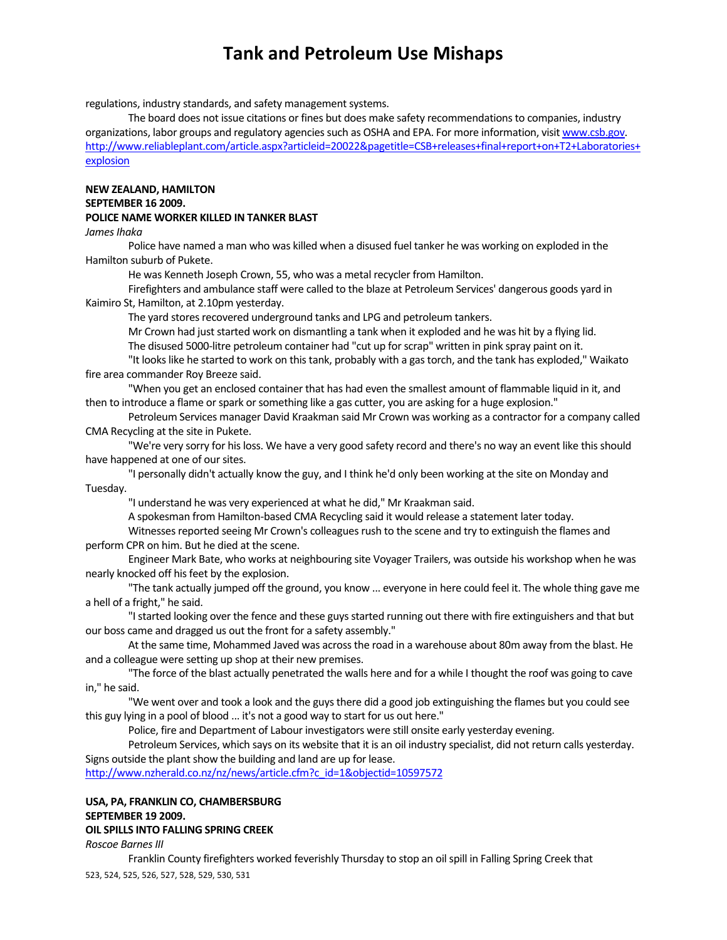regulations, industry standards, and safety management systems.

The board does not issue citations or fines but does make safety recommendations to companies, industry organizations, labor groups and regulatory agencies such as OSHA and EPA. For more information, visit www.csb.gov. http://www.reliableplant.com/article.aspx?articleid=20022&pagetitle=CSB+releases+final+report+on+T2+Laboratories+ explosion

### **NEW ZEALAND, HAMILTON SEPTEMBER 16 2009.**

### **POLICE NAME WORKER KILLED IN TANKER BLAST**

#### *James Ihaka*

Police have named a man who was killed when a disused fuel tanker he was working on exploded in the Hamilton suburb of Pukete.

He was Kenneth Joseph Crown, 55, who was a metal recycler from Hamilton.

Firefighters and ambulance staff were called to the blaze at Petroleum Services' dangerous goods yard in Kaimiro St, Hamilton, at 2.10pm yesterday.

The yard stores recovered underground tanks and LPG and petroleum tankers.

Mr Crown had just started work on dismantling a tank when it exploded and he was hit by a flying lid. The disused 5000-litre petroleum container had "cut up for scrap" written in pink spray paint on it.

"It lookslike he started to work on thistank, probably with a gastorch, and the tank has exploded," Waikato fire area commander Roy Breeze said.

"When you get an enclosed container that has had even the smallest amount of flammable liquid in it, and then to introduce a flame or spark or something like a gas cutter, you are asking for a huge explosion."

Petroleum Services manager David Kraakman said Mr Crown was working as a contractor for a company called CMA Recycling at the site in Pukete.

"We're very sorry for his loss. We have a very good safety record and there's no way an event like this should have happened at one of our sites.

"I personally didn't actually know the guy, and I think he'd only been working at the site on Monday and Tuesday.

"I understand he was very experienced at what he did," Mr Kraakman said.

A spokesman from Hamilton‐based CMA Recycling said it would release a statement later today.

Witnesses reported seeing Mr Crown's colleagues rush to the scene and try to extinguish the flames and perform CPR on him. But he died at the scene.

Engineer Mark Bate, who works at neighbouring site Voyager Trailers, was outside his workshop when he was nearly knocked off his feet by the explosion.

"The tank actually jumped off the ground, you know ... everyone in here could feel it. The whole thing gave me a hell of a fright," he said.

"Istarted looking over the fence and these guysstarted running out there with fire extinguishers and that but our boss came and dragged us out the front for a safety assembly."

At the same time, Mohammed Javed was across the road in a warehouse about 80m away from the blast. He and a colleague were setting up shop at their new premises.

"The force of the blast actually penetrated the walls here and for a while I thought the roof was going to cave in," he said.

"We went over and took a look and the guys there did a good job extinguishing the flames but you could see this guy lying in a pool of blood ... it's not a good way to start for us out here."

Police, fire and Department of Labour investigators were still onsite early yesterday evening.

Petroleum Services, which says on its website that it is an oil industry specialist, did not return calls yesterday. Signs outside the plant show the building and land are up for lease.

http://www.nzherald.co.nz/nz/news/article.cfm?c\_id=1&objectid=10597572

### **USA, PA, FRANKLIN CO, CHAMBERSBURG**

### **SEPTEMBER 19 2009.**

#### **OIL SPILLS INTO FALLING SPRING CREEK**

*Roscoe BarnesIII*

523, 524, 525, 526, 527, 528, 529, 530, 531 Franklin County firefighters worked feverishly Thursday to stop an oilspill in Falling Spring Creek that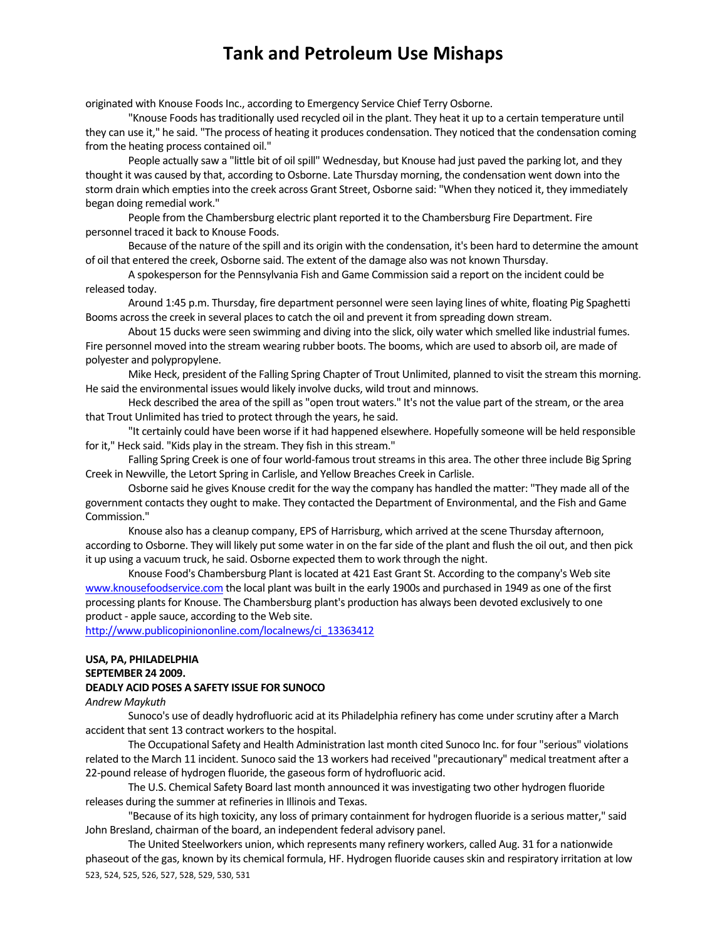originated with Knouse Foods Inc., according to Emergency Service Chief Terry Osborne.

"Knouse Foods has traditionally used recycled oil in the plant. They heat it up to a certain temperature until they can use it," he said. "The process of heating it produces condensation. They noticed that the condensation coming from the heating process contained oil."

People actually saw a "little bit of oil spill" Wednesday, but Knouse had just paved the parking lot, and they thought it was caused by that, according to Osborne. Late Thursday morning, the condensation went down into the storm drain which empties into the creek across Grant Street, Osborne said: "When they noticed it, they immediately began doing remedial work."

People from the Chambersburg electric plant reported it to the Chambersburg Fire Department. Fire personnel traced it back to Knouse Foods.

Because of the nature of the spill and its origin with the condensation, it's been hard to determine the amount of oil that entered the creek, Osborne said. The extent of the damage also was not known Thursday.

A spokesperson for the Pennsylvania Fish and Game Commission said a report on the incident could be released today.

Around 1:45 p.m. Thursday, fire department personnel were seen laying lines of white, floating Pig Spaghetti Booms across the creek in several places to catch the oil and prevent it from spreading down stream.

About 15 ducks were seen swimming and diving into the slick, oily water which smelled like industrial fumes. Fire personnel moved into the stream wearing rubber boots. The booms, which are used to absorb oil, are made of polyester and polypropylene.

Mike Heck, president of the Falling Spring Chapter of Trout Unlimited, planned to visit the stream this morning. He said the environmental issues would likely involve ducks, wild trout and minnows.

Heck described the area of the spill as "open trout waters." It's not the value part of the stream, or the area that Trout Unlimited has tried to protect through the years, he said.

"It certainly could have been worse if it had happened elsewhere. Hopefully someone will be held responsible for it," Heck said. "Kids play in the stream. They fish in this stream."

Falling Spring Creek is one of four world-famous trout streams in this area. The other three include Big Spring Creek in Newville, the Letort Spring in Carlisle, and Yellow Breaches Creek in Carlisle.

Osborne said he gives Knouse credit for the way the company has handled the matter: "They made all of the government contacts they ought to make. They contacted the Department of Environmental, and the Fish and Game Commission."

Knouse also has a cleanup company, EPS of Harrisburg, which arrived at the scene Thursday afternoon, according to Osborne. They will likely put some water in on the far side of the plant and flush the oil out, and then pick it up using a vacuum truck, he said. Osborne expected them to work through the night.

Knouse Food's Chambersburg Plant islocated at 421 East Grant St. According to the company's Web site www.knousefoodservice.com the local plant was built in the early 1900s and purchased in 1949 as one of the first processing plants for Knouse. The Chambersburg plant's production has always been devoted exclusively to one product ‐ apple sauce, according to the Web site.

http://www.publicopiniononline.com/localnews/ci\_13363412

### **USA, PA, PHILADELPHIA SEPTEMBER 24 2009. DEADLY ACID POSES A SAFETY ISSUE FOR SUNOCO**

#### *Andrew Maykuth*

Sunoco's use of deadly hydrofluoric acid at its Philadelphia refinery has come under scrutiny after a March accident that sent 13 contract workers to the hospital.

The Occupational Safety and Health Administration last month cited Sunoco Inc. for four "serious" violations related to the March 11 incident. Sunoco said the 13 workers had received "precautionary" medical treatment after a 22-pound release of hydrogen fluoride, the gaseous form of hydrofluoric acid.

The U.S. Chemical Safety Board last month announced it was investigating two other hydrogen fluoride releases during the summer at refineries in Illinois and Texas.

"Because of its high toxicity, any loss of primary containment for hydrogen fluoride is a serious matter," said John Bresland, chairman of the board, an independent federal advisory panel.

523, 524, 525, 526, 527, 528, 529, 530, 531 The United Steelworkers union, which represents many refinery workers, called Aug. 31 for a nationwide phaseout of the gas, known by its chemical formula, HF. Hydrogen fluoride causesskin and respiratory irritation at low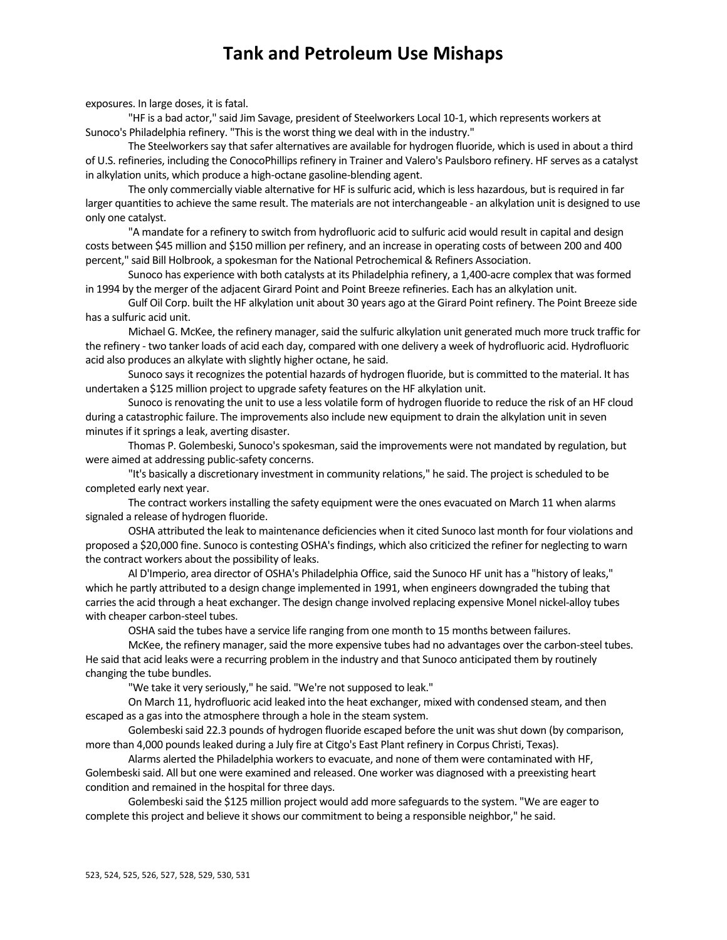exposures. In large doses, it is fatal.

"HF is a bad actor," said Jim Savage, president of Steelworkers Local 10‐1, which represents workers at Sunoco's Philadelphia refinery. "This is the worst thing we deal with in the industry."

The Steelworkers say that safer alternatives are available for hydrogen fluoride, which is used in about a third of U.S. refineries, including the ConocoPhillipsrefinery in Trainer and Valero's Paulsboro refinery. HF serves as a catalyst in alkylation units, which produce a high‐octane gasoline‐blending agent.

The only commercially viable alternative for HF is sulfuric acid, which is less hazardous, but is required in far larger quantities to achieve the same result. The materials are not interchangeable - an alkylation unit is designed to use only one catalyst.

"A mandate for a refinery to switch from hydrofluoric acid to sulfuric acid would result in capital and design costs between \$45 million and \$150 million per refinery, and an increase in operating costs of between 200 and 400 percent," said Bill Holbrook, a spokesman for the National Petrochemical & Refiners Association.

Sunoco has experience with both catalysts at its Philadelphia refinery, a 1,400-acre complex that was formed in 1994 by the merger of the adjacent Girard Point and Point Breeze refineries. Each has an alkylation unit.

Gulf Oil Corp. built the HF alkylation unit about 30 years ago at the Girard Point refinery. The Point Breeze side has a sulfuric acid unit.

Michael G. McKee, the refinery manager, said the sulfuric alkylation unit generated much more truck traffic for the refinery ‐ two tanker loads of acid each day, compared with one delivery a week of hydrofluoric acid. Hydrofluoric acid also produces an alkylate with slightly higher octane, he said.

Sunoco says it recognizes the potential hazards of hydrogen fluoride, but is committed to the material. It has undertaken a \$125 million project to upgrade safety features on the HF alkylation unit.

Sunoco is renovating the unit to use a less volatile form of hydrogen fluoride to reduce the risk of an HF cloud during a catastrophic failure. The improvements also include new equipment to drain the alkylation unit in seven minutes if it springs a leak, averting disaster.

Thomas P. Golembeski, Sunoco's spokesman, said the improvements were not mandated by regulation, but were aimed at addressing public-safety concerns.

"It's basically a discretionary investment in community relations," he said. The project isscheduled to be completed early next year.

The contract workers installing the safety equipment were the ones evacuated on March 11 when alarms signaled a release of hydrogen fluoride.

OSHA attributed the leak to maintenance deficiencies when it cited Sunoco last month for four violations and proposed a \$20,000 fine. Sunoco is contesting OSHA's findings, which also criticized the refiner for neglecting to warn the contract workers about the possibility of leaks.

Al D'Imperio, area director of OSHA's Philadelphia Office, said the Sunoco HF unit has a "history of leaks," which he partly attributed to a design change implemented in 1991, when engineers downgraded the tubing that carries the acid through a heat exchanger. The design change involved replacing expensive Monel nickel-alloy tubes with cheaper carbon‐steel tubes.

OSHA said the tubes have a service life ranging from one month to 15 months between failures.

McKee, the refinery manager, said the more expensive tubes had no advantages over the carbon-steel tubes. He said that acid leaks were a recurring problem in the industry and that Sunoco anticipated them by routinely changing the tube bundles.

"We take it very seriously," he said. "We're not supposed to leak."

On March 11, hydrofluoric acid leaked into the heat exchanger, mixed with condensed steam, and then escaped as a gas into the atmosphere through a hole in the steam system.

Golembeski said 22.3 pounds of hydrogen fluoride escaped before the unit was shut down (by comparison, more than 4,000 pounds leaked during a July fire at Citgo's East Plant refinery in Corpus Christi, Texas).

Alarms alerted the Philadelphia workers to evacuate, and none of them were contaminated with HF, Golembeskisaid. All but one were examined and released. One worker was diagnosed with a preexisting heart condition and remained in the hospital for three days.

Golembeski said the \$125 million project would add more safeguards to the system. "We are eager to complete this project and believe it shows our commitment to being a responsible neighbor," he said.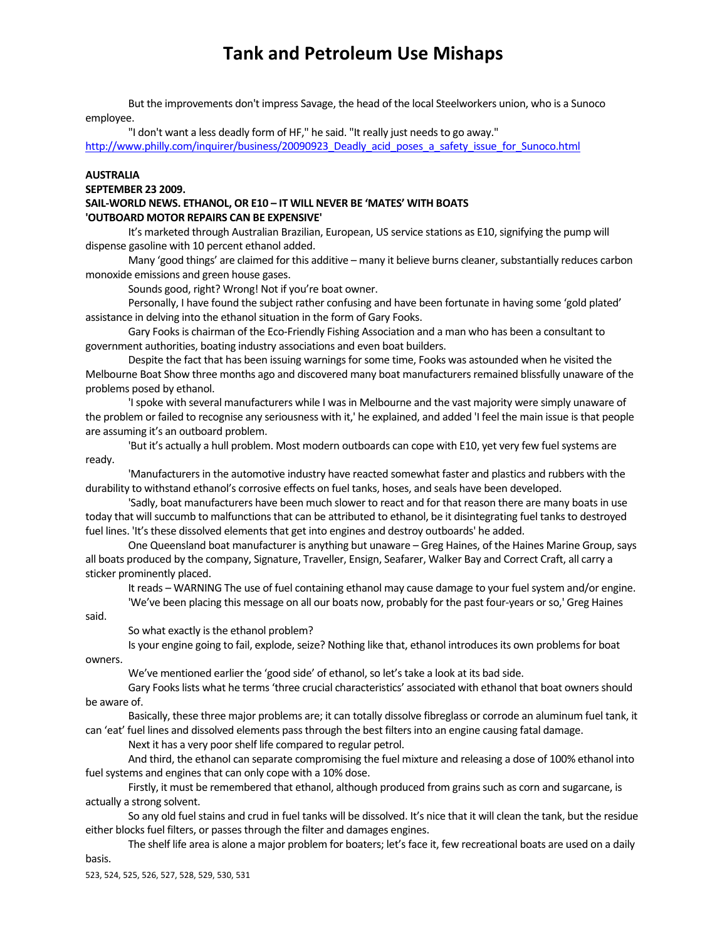But the improvements don't impress Savage, the head of the local Steelworkers union, who is a Sunoco employee.

"I don't want a less deadly form of HF," he said. "It really just needs to go away."

http://www.philly.com/inquirer/business/20090923\_Deadly\_acid\_poses\_a\_safety\_issue\_for\_Sunoco.html

#### **AUSTRALIA**

**SEPTEMBER 23 2009.** 

#### **SAIL‐WORLD NEWS. ETHANOL, OR E10 – IT WILL NEVER BE 'MATES' WITH BOATS 'OUTBOARD MOTOR REPAIRS CAN BE EXPENSIVE'**

It's marketed through Australian Brazilian, European, US service stations as E10, signifying the pump will dispense gasoline with 10 percent ethanol added.

Many 'good things' are claimed for this additive – many it believe burns cleaner, substantially reduces carbon monoxide emissions and green house gases.

Sounds good, right? Wrong! Not if you're boat owner.

Personally, I have found the subject rather confusing and have been fortunate in having some 'gold plated' assistance in delving into the ethanol situation in the form of Gary Fooks.

Gary Fooks is chairman of the Eco-Friendly Fishing Association and a man who has been a consultant to government authorities, boating industry associations and even boat builders.

Despite the fact that has been issuing warnings for some time, Fooks was astounded when he visited the Melbourne Boat Show three months ago and discovered many boat manufacturers remained blissfully unaware of the problems posed by ethanol.

'Ispoke with several manufacturers while I wasin Melbourne and the vast majority were simply unaware of the problem or failed to recognise any seriousness with it,' he explained, and added 'I feel the main issue is that people are assuming it's an outboard problem.

'But it's actually a hull problem. Most modern outboards can cope with E10, yet very few fuel systems are ready.

'Manufacturersin the automotive industry have reacted somewhat faster and plastics and rubbers with the durability to withstand ethanol's corrosive effects on fuel tanks, hoses, and seals have been developed.

'Sadly, boat manufacturers have been much slower to react and for that reason there are many boats in use today that will succumb to malfunctions that can be attributed to ethanol, be it disintegrating fuel tanks to destroyed fuel lines. 'It's these dissolved elements that get into engines and destroy outboards' he added.

One Queensland boat manufacturer is anything but unaware - Greg Haines, of the Haines Marine Group, says all boats produced by the company, Signature, Traveller, Ensign, Seafarer, Walker Bay and Correct Craft, all carry a sticker prominently placed.

It reads – WARNING The use of fuel containing ethanol may cause damage to your fuel system and/or engine. 'We've been placing this message on all our boats now, probably for the past four‐years orso,' Greg Haines

said.

So what exactly is the ethanol problem?

Is your engine going to fail, explode, seize? Nothing like that, ethanol introduces its own problems for boat owners.

We've mentioned earlier the 'good side' of ethanol, so let's take a look at its bad side.

Gary Fooks lists what he terms 'three crucial characteristics' associated with ethanol that boat owners should be aware of.

Basically, these three major problems are; it can totally dissolve fibreglass or corrode an aluminum fuel tank, it can 'eat' fuel lines and dissolved elements passthrough the best filtersinto an engine causing fatal damage.

Next it has a very poor shelf life compared to regular petrol.

And third, the ethanol can separate compromising the fuel mixture and releasing a dose of 100% ethanol into fuel systems and engines that can only cope with a 10% dose.

Firstly, it must be remembered that ethanol, although produced from grains such as corn and sugarcane, is actually a strong solvent.

So any old fuel stains and crud in fuel tanks will be dissolved. It's nice that it will clean the tank, but the residue either blocks fuel filters, or passes through the filter and damages engines.

The shelf life area is alone a major problem for boaters; let's face it, few recreational boats are used on a daily basis.